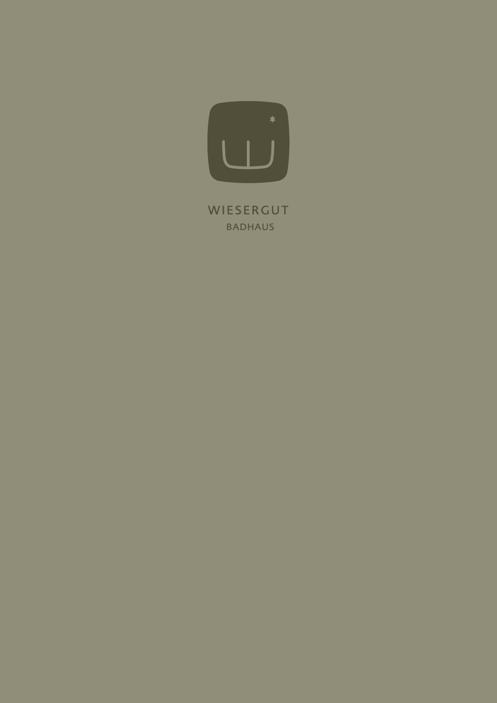

WIESERGUT BADHAUS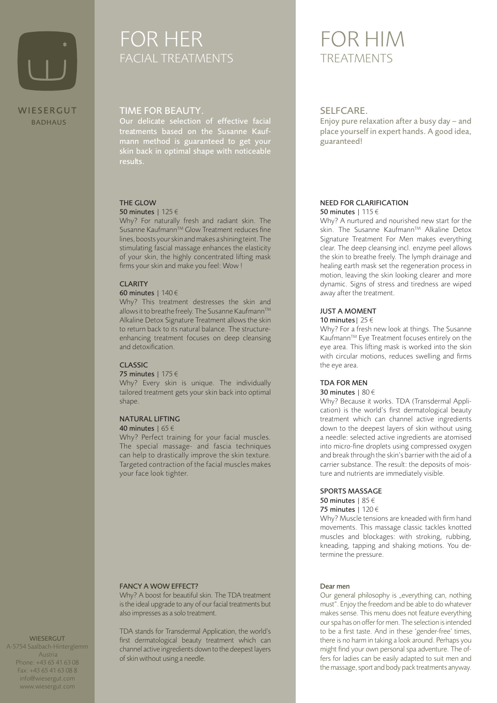

# FOR HER FACIAL TREATMENTS TREATMENTS

### TIME FOR BEAUTY.

Our delicate selection of effective facial treatments based on the Susanne Kaufmann method is guaranteed to get your skin back in optimal shape with noticeable results.

### THE GLOW

### 50 minutes | 125 €

Why? For naturally fresh and radiant skin. The Susanne Kaufmann™ Glow Treatment reduces fine lines, boosts your skin and makes a shining teint. The stimulating fascial massage enhances the elasticity of your skin, the highly concentrated lifting mask firms your skin and make you feel: Wow !

### **CLARITY**

### 60 minutes | 140 €

Why? This treatment destresses the skin and allows it to breathe freely. The Susanne Kaufmann™ Alkaline Detox Signature Treatment allows the skin to return back to its natural balance. The structureenhancing treatment focuses on deep cleansing and detoxification.

### CLASSIC

### 75 minutes | 175 €

Why? Every skin is unique. The individually tailored treatment gets your skin back into optimal shape.

### NATURAL LIFTING

#### 40 minutes | 65 €

Why? Perfect training for your facial muscles. The special massage- and fascia techniques can help to drastically improve the skin texture. Targeted contraction of the facial muscles makes your face look tighter.

### FANCY A WOW EFFECT?

Why? A boost for beautiful skin. The TDA treatment is the ideal upgrade to any of our facial treatments but also impresses as a solo treatment.

TDA stands for Transdermal Application, the world's first dermatological beauty treatment which can channel active ingredients down to the deepest layers of skin without using a needle.

# FOR HIM

### SELFCARE.

Enjoy pure relaxation after a busy day – and place yourself in expert hands. A good idea, guaranteed!

#### NEED FOR CLARIFICATION 50 minutes | 115 €

Why? A nurtured and nourished new start for the skin. The Susanne Kaufmann™ Alkaline Detox Signature Treatment For Men makes everything clear. The deep cleansing incl. enzyme peel allows the skin to breathe freely. The lymph drainage and healing earth mask set the regeneration process in motion, leaving the skin looking clearer and more dynamic. Signs of stress and tiredness are wiped away after the treatment.

### JUST A MOMENT

### 10 minutes |  $25 \in$

Why? For a fresh new look at things. The Susanne Kaufmann™ Eye Treatment focuses entirely on the eye area. This lifting mask is worked into the skin with circular motions, reduces swelling and firms the eye area.

### TDA FOR MEN

#### 30 minutes | 80 €

Why? Because it works. TDA (Transdermal Application) is the world's first dermatological beauty treatment which can channel active ingredients down to the deepest layers of skin without using a needle: selected active ingredients are atomised into micro-fine droplets using compressed oxygen and break through the skin's barrier with the aid of a carrier substance. The result: the deposits of moisture and nutrients are immediately visible.

### SPORTS MASSAGE

50 minutes | 85 € 75 minutes | 120 €

Why? Muscle tensions are kneaded with firm hand movements. This massage classic tackles knotted muscles and blockages: with stroking, rubbing, kneading, tapping and shaking motions. You determine the pressure.

#### Dear men

Our general philosophy is "everything can, nothing must". Enjoy the freedom and be able to do whatever makes sense. This menu does not feature everything our spa has on offer for men. The selection is intended to be a first taste. And in these 'gender-free' times, there is no harm in taking a look around. Perhaps you might find your own personal spa adventure. The offers for ladies can be easily adapted to suit men and the massage, sport and body pack treatments anyway.

#### **WIESERGUT**

A-5754 Saalbach-Hinterglemm Austria Phone: +43 65 41 63 08 Fax: +43 65 41 63 08 8 info@wiesergut.com www.wiesergut.com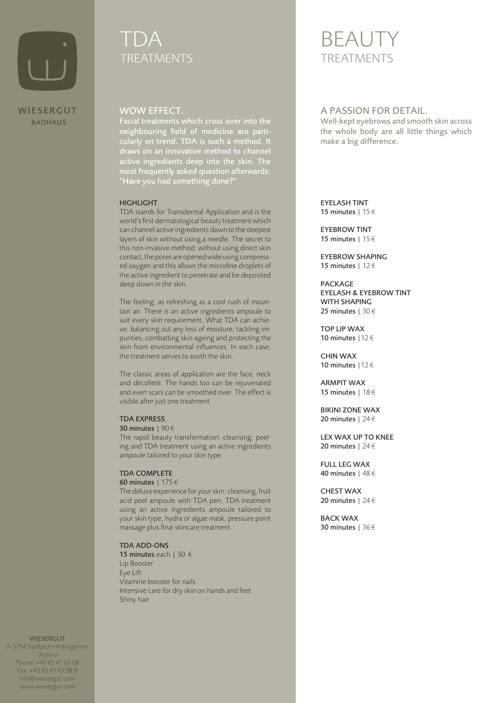

# TI)A TREATMENTS

# **BEAUT** TREATMENTS

### WOW EFFECT.

Facial treatments which cross over into the neighbouring field of medicine are particularly on trend. TDA is such a method. It active ingredients deep into the skin. The most frequently asked question afterwards: "Have you had something done?"

### HIGHLIGHT

TDA stands for Transdermal Application and is the world's first dermatological beauty treatment which can channel active ingredients down to the deepest layers of skin without using a needle. The secret to this non-invasive method: without using direct skin contact, the pores are opened wide using compressed oxygen and this allows the microfine droplets of the active ingredient to penetrate and be deposited deep down in the skin.

The feeling: as refreshing as a cool rush of mountain air. There is an active ingredients ampoule to suit every skin requirement. What TDA can achieve: balancing out any loss of moisture, tackling impurities, combatting skin ageing and protecting the skin from environmental influences. In each case, the treatment serves to sooth the skin.

The classic areas of application are the face, neck and décolleté. The hands too can be rejuvenated and even scars can be smoothed over. The effect is visible after just one treatment.

### TDA EXPRESS

### 30 minutes | 90 €

The rapid beauty transformation: cleansing, peeling and TDA treatment using an active ingredients ampoule tailored to your skin type.

### TDA COMPLETE

### 60 minutes | 175 €

The deluxe experience for your skin: cleansing, fruit acid peel ampoule with TDA pen, TDA treatment using an active ingredients ampoule tailored to your skin type, hydra or algae mask, pressure point massage plus final skincare treatment.

### TDA ADD-ONS

15 minutes each | 50 € Lip Booster Eye Lift Vitamine booster for nails Intensive care for dry skin on hands and feet Shiny hair

## A PASSION FOR DETAIL.

Well-kept eyebrows and smooth skin across the whole body are all little things which make a big difference.

EYELASH TINT 15 minutes | 15 €

EYEBROW TINT 15 minutes | 15 €

EYEBROW SHAPING 15 minutes | 12 €

PACKAGE EYELASH & EYEBROW TINT WITH SHAPING 25 minutes | 30 €

TOP LIP WAX 10 minutes |12 €

CHIN WAX 10 minutes |12 €

ARMPIT WAX 15 minutes | 18 €

BIKINI ZONE WAX 20 minutes | 24 €

LEX WAX UP TO KNEE 20 minutes | 24 €

FULL LEG WAX 40 minutes | 48 €

CHEST WAX 20 minutes | 24 €

BACK WAX 30 minutes | 36 €

**WIESERGUT** A-5754 Saalbach-Hinterglemm

 Austria Phone: +43 65 41 63 08 Fax: +43 65 41 63 08 8 info@wiesergut.com www.wiesergut.com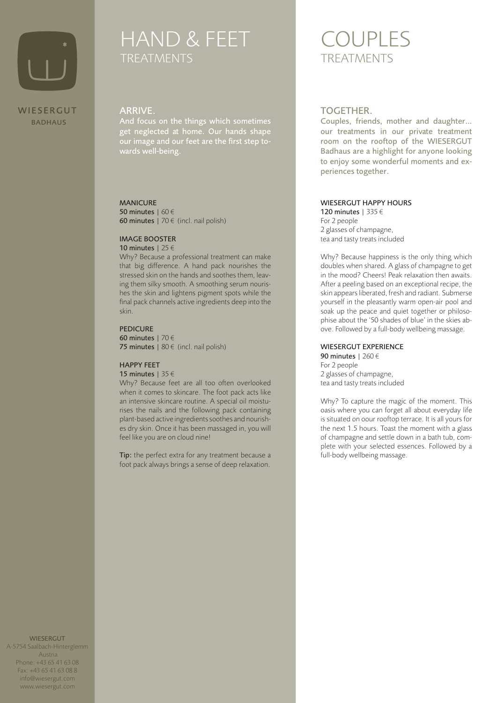

# HAND & FEET **TREATMENTS**

# BADHAUS

### ARRIVE.

And focus on the things which sometimes get neglected at home. Our hands shape our image and our feet are the first step towards well-being.

### MANICURE

50 minutes | 60 € 60 minutes | 70 $\notin$  (incl. nail polish)

### IMAGE BOOSTER

10 minutes | 25 € Why? Because a professional treatment can make that big difference. A hand pack nourishes the stressed skin on the hands and soothes them, leaving them silky smooth. A smoothing serum nourishes the skin and lightens pigment spots while the final pack channels active ingredients deep into the

### PEDICURE

skin.

60 minutes | 70 € 75 minutes  $180 \in (incl. \text{ nail} \text{ polish})$ 

### HAPPY FEET

15 minutes | 35 €

Why? Because feet are all too often overlooked when it comes to skincare. The foot pack acts like an intensive skincare routine. A special oil moisturises the nails and the following pack containing plant-based active ingredients soothes and nourishes dry skin. Once it has been massaged in, you will feel like you are on cloud nine!

Tip: the perfect extra for any treatment because a foot pack always brings a sense of deep relaxation.

# COUPLES **TREATMENTS**

### TOGETHER.

Couples, friends, mother and daughter… our treatments in our private treatment room on the rooftop of the WIESERGUT Badhaus are a highlight for anyone looking to enjoy some wonderful moments and experiences together.

### WIESERGUT HAPPY HOURS

120 minutes | 335 € For 2 people 2 glasses of champagne, tea and tasty treats included

Why? Because happiness is the only thing which doubles when shared. A glass of champagne to get in the mood? Cheers! Peak relaxation then awaits. After a peeling based on an exceptional recipe, the skin appears liberated, fresh and radiant. Submerse yourself in the pleasantly warm open-air pool and soak up the peace and quiet together or philosophise about the '50 shades of blue' in the skies above. Followed by a full-body wellbeing massage.

### WIESERGUT EXPERIENCE

90 minutes | 260 € For 2 people 2 glasses of champagne, tea and tasty treats included

Why? To capture the magic of the moment. This oasis where you can forget all about everyday life is situated on oour rooftop terrace. It is all yours for the next 1.5 hours. Toast the moment with a glass of champagne and settle down in a bath tub, complete with your selected essences. Followed by a full-body wellbeing massage.

**WIESERGUT** A-5754 Saalbach-Hinterglemm Austria Phone: +43 65 41 63 08 Fax: +43 65 41 63 08 8 info@wiesergut.com www.wiesergut.com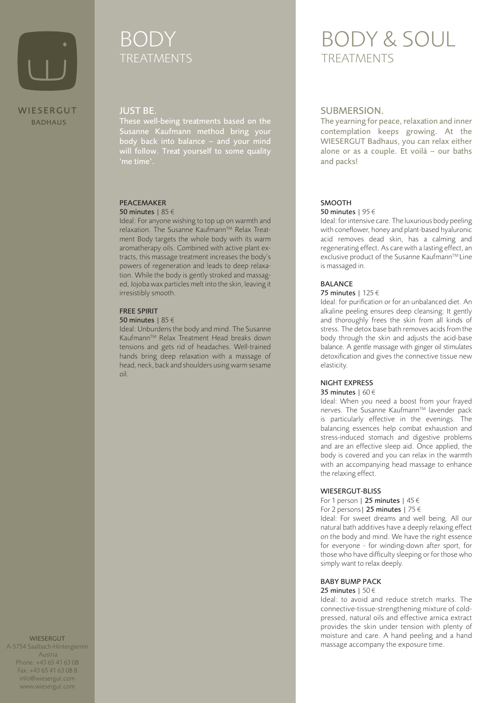

# BODY TREATMENTS TREATMENTS

### JUST BE.

These well-being treatments based on the Susanne Kaufmann method bring your body back into balance – and your mind 'me time'.

### PEACEMAKER

### 50 minutes | 85 €

Ideal: For anyone wishing to top up on warmth and relaxation. The Susanne Kaufmann™ Relax Treatment Body targets the whole body with its warm aromatherapy oils. Combined with active plant extracts, this massage treatment increases the body's powers of regeneration and leads to deep relaxation. While the body is gently stroked and massaged, Jojoba wax particles melt into the skin, leaving it irresistibly smooth.

### FREE SPIRIT

#### 50 minutes | 85 €

Ideal: Unburdens the body and mind. The Susanne Kaufmann™ Relax Treatment Head breaks down tensions and gets rid of headaches. Well-trained hands bring deep relaxation with a massage of head, neck, back and shoulders using warm sesame oil.

# BODY & SOUL

### SUBMERSION.

The yearning for peace, relaxation and inner contemplation keeps growing. At the WIESERGUT Badhaus, you can relax either alone or as a couple. Et voilà – our baths and packs!

### SMOOTH

### 50 minutes | 95 €

Ideal: for intensive care. The luxurious body peeling with coneflower, honey and plant-based hyaluronic acid removes dead skin, has a calming and regenerating effect. As care with a lasting effect, an exclusive product of the Susanne Kaufmann™ Line is massaged in.

### BALANCE

### 75 minutes | 125 €

Ideal: for purification or for an unbalanced diet. An alkaline peeling ensures deep cleansing: It gently and thoroughly frees the skin from all kinds of stress. The detox base bath removes acids from the body through the skin and adjusts the acid-base balance. A gentle massage with ginger oil stimulates detoxification and gives the connective tissue new elasticity.

### NIGHT EXPRESS

### 35 minutes | 60 €

Ideal: When you need a boost from your frayed nerves. The Susanne Kaufmann™ lavender pack is particularly effective in the evenings. The balancing essences help combat exhaustion and stress-induced stomach and digestive problems and are an effective sleep aid. Once applied, the body is covered and you can relax in the warmth with an accompanying head massage to enhance the relaxing effect.

### WIESERGUT-BLISS

For 1 person | 25 minutes |  $45 \in$ For 2 persons | 25 minutes | 75  $\in$ 

Ideal: For sweet dreams and well being. All our natural bath additives have a deeply relaxing effect on the body and mind. We have the right essence for everyone - for winding-down after sport, for those who have difficulty sleeping or for those who simply want to relax deeply.

### BABY BUMP PACK

### 25 minutes | 50€

Ideal: to avoid and reduce stretch marks. The connective-tissue-strengthening mixture of coldpressed, natural oils and effective arnica extract provides the skin under tension with plenty of moisture and care. A hand peeling and a hand massage accompany the exposure time.

**WIESERGUT** A-5754 Saalbach-Hinterglemm Austria Phone: +43 65 41 63 08 Fax: +43 65 41 63 08 8 info@wiesergut.com www.wiesergut.com